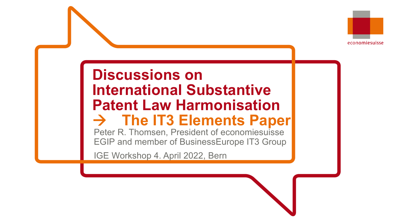

# **Discussions on International Substantive Patent Law Harmonisation The IT3 Elements Paper**

Peter R. Thomsen, President of economiesuisse EGIP and member of BusinessEurope IT3 Group

IGE Workshop 4. April 2022, Bern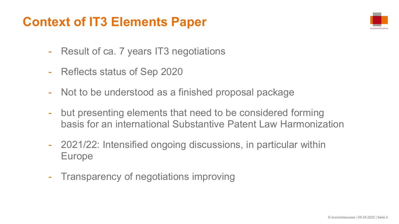### **Context of IT3 Elements Paper**



- Result of ca. 7 years IT3 negotiations
- Reflects status of Sep 2020
- Not to be understood as a finished proposal package
- but presenting elements that need to be considered forming basis for an international Substantive Patent Law Harmonization
- 2021/22: Intensified ongoing discussions, in particular within Europe
- Transparency of negotiations improving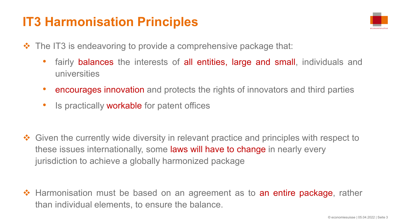### **IT3 Harmonisation Principles**



- $\cdot$  The IT3 is endeavoring to provide a comprehensive package that:
	- fairly **balances** the interests of all entities, large and small, individuals and universities
	- encourages innovation and protects the rights of innovators and third parties
	- **Is practically workable for patent offices**
- ◆ Given the currently wide diversity in relevant practice and principles with respect to these issues internationally, some laws will have to change in nearly every jurisdiction to achieve a globally harmonized package
- ◆ Harmonisation must be based on an agreement as to an entire package, rather than individual elements, to ensure the balance.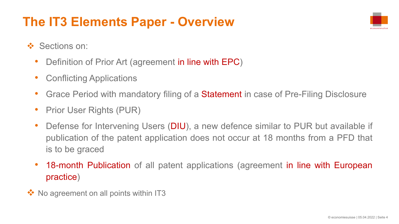# **The IT3 Elements Paper - Overview**



- ❖ Sections on:
	- Definition of Prior Art (agreement in line with EPC)
	- Conflicting Applications
	- Grace Period with mandatory filing of a **Statement** in case of Pre-Filing Disclosure
	- Prior User Rights (PUR)
	- Defense for Intervening Users (DIU), a new defence similar to PUR but available if publication of the patent application does not occur at 18 months from a PFD that is to be graced
	- 18-month Publication of all patent applications (agreement in line with European practice)
- $\cdot$  No agreement on all points within IT3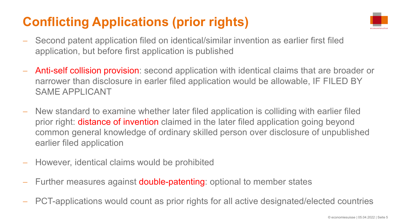# **Conflicting Applications (prior rights)**



- Second patent application filed on identical/similar invention as earlier first filed application, but before first application is published
- Anti-self collision provision: second application with identical claims that are broader or narrower than disclosure in earler filed application would be allowable, IF FILED BY SAME APPLICANT
- New standard to examine whether later filed application is colliding with earlier filed prior right: **distance of invention** claimed in the later filed application going beyond common general knowledge of ordinary skilled person over disclosure of unpublished earlier filed application
- However, identical claims would be prohibited
- Further measures against **double-patenting**: optional to member states
- PCT-applications would count as prior rights for all active designated/elected countries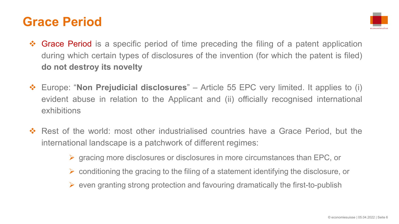### **Grace Period**



- ◆ Grace Period is a specific period of time preceding the filing of a patent application during which certain types of disclosures of the invention (for which the patent is filed) **do not destroy its novelty**
- Europe: "**Non Prejudicial disclosures**" Article 55 EPC very limited. It applies to (i) evident abuse in relation to the Applicant and (ii) officially recognised international exhibitions
- Rest of the world: most other industrialised countries have a Grace Period, but the international landscape is a patchwork of different regimes:
	- $\triangleright$  gracing more disclosures or disclosures in more circumstances than EPC, or
	- $\triangleright$  conditioning the gracing to the filing of a statement identifying the disclosure, or
	- $\triangleright$  even granting strong protection and favouring dramatically the first-to-publish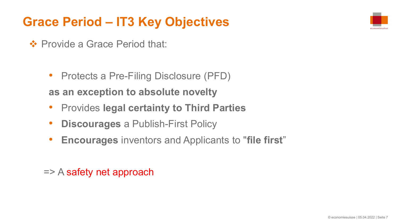# **Grace Period – IT3 Key Objectives**

❖ Provide a Grace Period that:

• Protects a Pre-Filing Disclosure (PFD)

**as an exception to absolute novelty**

- Provides **legal certainty to Third Parties**
- **Discourages** a Publish-First Policy
- **Encourages** inventors and Applicants to "**file first**"

=> A safety net approach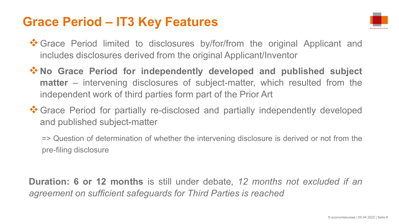### **Grace Period – IT3 Key Features**



- Grace Period limited to disclosures by/for/from the original Applicant and includes disclosures derived from the original Applicant/Inventor
- **V** No Grace Period for independently developed and published subject **matter** – intervening disclosures of subject-matter, which resulted from the independent work of third parties form part of the Prior Art
- **\*** Grace Period for partially re-disclosed and partially independently developed and published subject-matter

=> Question of determination of whether the intervening disclosure is derived or not from the pre-filing disclosure

**Duration: 6 or 12 months** is still under debate, *12 months not excluded if an agreement on sufficient safeguards for Third Parties is reached*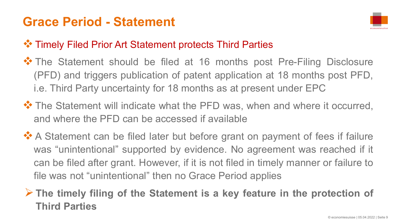### **Grace Period - Statement**



#### **<sup>◆</sup>\* Timely Filed Prior Art Statement protects Third Parties**

- **\*** The Statement should be filed at 16 months post Pre-Filing Disclosure (PFD) and triggers publication of patent application at 18 months post PFD, i.e. Third Party uncertainty for 18 months as at present under EPC
- **\*** The Statement will indicate what the PFD was, when and where it occurred, and where the PFD can be accessed if available
- **A** Statement can be filed later but before grant on payment of fees if failure was "unintentional" supported by evidence. No agreement was reached if it can be filed after grant. However, if it is not filed in timely manner or failure to file was not "unintentional" then no Grace Period applies

#### **The timely filing of the Statement is a key feature in the protection of Third Parties**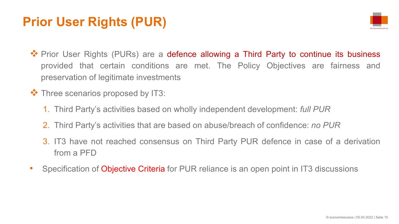### **Prior User Rights (PUR)**



- ◆ Prior User Rights (PURs) are a defence allowing a Third Party to continue its business provided that certain conditions are met. The Policy Objectives are fairness and preservation of legitimate investments
- $\triangle$  Three scenarios proposed by IT3:
	- 1. Third Party's activities based on wholly independent development: *full PUR*
	- 2. Third Party's activities that are based on abuse/breach of confidence: *no PUR*
	- 3. IT3 have not reached consensus on Third Party PUR defence in case of a derivation from a PFD
- Specification of Objective Criteria for PUR reliance is an open point in IT3 discussions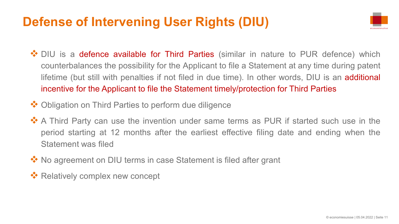### **Defense of Intervening User Rights (DIU)**



- ◆ DIU is a defence available for Third Parties (similar in nature to PUR defence) which counterbalances the possibility for the Applicant to file a Statement at any time during patent lifetime (but still with penalties if not filed in due time). In other words, DIU is an additional incentive for the Applicant to file the Statement timely/protection for Third Parties
- **❖** Obligation on Third Parties to perform due diligence
- ❖ A Third Party can use the invention under same terms as PUR if started such use in the period starting at 12 months after the earliest effective filing date and ending when the Statement was filed
- ◆ No agreement on DIU terms in case Statement is filed after grant
- **Executively complex new concept**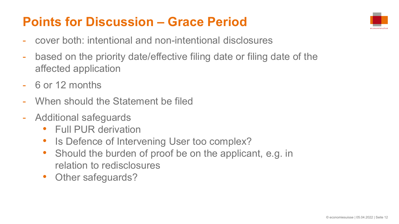### **Points for Discussion – Grace Period**



- cover both: intentional and non-intentional disclosures
- based on the priority date/effective filing date or filing date of the affected application
- 6 or 12 months
- When should the Statement be filed
- Additional safeguards
	- Full PUR derivation
	- Is Defence of Intervening User too complex?
	- Should the burden of proof be on the applicant, e.g. in relation to redisclosures
	- Other safeguards?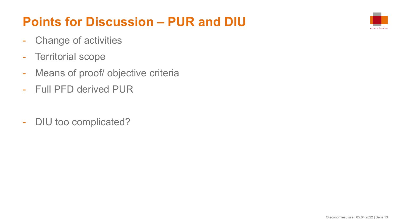# **Points for Discussion – PUR and DIU**

- Change of activities
- Territorial scope
- Means of proof/ objective criteria
- Full PFD derived PUR
- DIU too complicated?

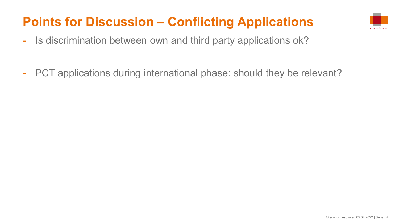# **Points for Discussion – Conflicting Applications**



- Is discrimination between own and third party applications ok?
- PCT applications during international phase: should they be relevant?